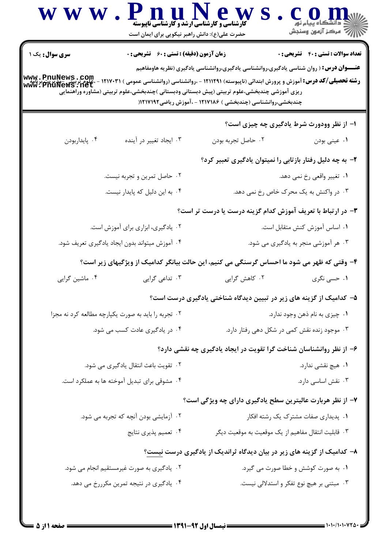| W W W                                               | PnuNew<br><b>کارشناسی و کارشناسی ارشد و کارشناسی ناپیوسته</b><br>حضرت علی(ع): دانش راهبر نیکویی برای ایمان است |                                                                                                                                                                                                                                                                            | COD<br>د دانشڪاه پيام نور<br>  √ مرکز آزمون وسنڊش |
|-----------------------------------------------------|----------------------------------------------------------------------------------------------------------------|----------------------------------------------------------------------------------------------------------------------------------------------------------------------------------------------------------------------------------------------------------------------------|---------------------------------------------------|
| <b>سری سوال :</b> یک ۱<br>www.PnuNews.com           | <b>زمان آزمون (دقیقه) : تستی : 60 ٪ تشریحی : 0</b>                                                             | <b>عنــــوان درس:</b> ( روان شناسی یادگیری،روانشناسی یادگیری،روانشناسی یادگیری (نظریه هاومفاهیم                                                                                                                                                                            | <b>تعداد سوالات : تستي : 40 - تشريحي : 0</b>      |
| aw. PnuNews : net                                   |                                                                                                                | <b>رشته تحصیلی/کد درس:</b> آموزش و پرورش ابتدائی (ناپیوسته) ۱۲۱۱۲۹۱ - .روانشناسی (روانشناسی عمومی ) ۱۲۱۷۰۳۱<br>ریزی آموزشی چندبخشی،علوم تربیتی (پیش دبستانی ودبستانی )چندبخشی،علوم تربیتی (مشاوره وراهنمایی<br>چندبخشی،روانشناسی (چندبخشی ) ۱۲۱۷۱۸۶ - ،آموزش ریاضی۱۲۱۷۱۹۲( |                                                   |
|                                                     |                                                                                                                |                                                                                                                                                                                                                                                                            | ۱- از نظر وودورث شرط یادگیری چه چیزی است؟         |
| ۰۴ پايداربودن                                       | ۰۳ ایجاد تغییر در آینده                                                                                        | ٠٢ حاصل تجربه بودن                                                                                                                                                                                                                                                         | ۰۱ عینی بودن                                      |
|                                                     |                                                                                                                | ۲– به چه دلیل رفتار بازتابی را نمیتوان یادگیری تعبیر کرد؟                                                                                                                                                                                                                  |                                                   |
|                                                     | ۰۲ حاصل تمرین و تجربه نیست.                                                                                    |                                                                                                                                                                                                                                                                            | ۰۱ تغییر واقعی رخ نمی دهد.                        |
|                                                     | ۰۴ به این دلیل که پایدار نیست.                                                                                 |                                                                                                                                                                                                                                                                            | ۰۳ در واکنش به یک محرک خاص رخ نمی دهد.            |
|                                                     |                                                                                                                | ۳– در ارتباط با تعریف آموزش کدام گزینه درست یا درست تر است؟                                                                                                                                                                                                                |                                                   |
|                                                     | ۰۲ یادگیری، ابزاری برای آموزش است.                                                                             | ٠١ اساس آموزش كنش متقابل است.                                                                                                                                                                                                                                              |                                                   |
|                                                     | ۰۴ آموزش میتواند بدون ایجاد یادگیری تعریف شود.                                                                 | ۰۳ هر آموزشی منجر به یادگیری می شود.                                                                                                                                                                                                                                       |                                                   |
|                                                     |                                                                                                                | ۴- وقتی که ظهر می شود ما احساس گرسنگی می کنیم، این حالت بیانگر کدامیک از ویژگیهای زیر است؟                                                                                                                                                                                 |                                                   |
| ۰۴ ماشین گرایی                                      | ۰۳ تداعی گرایی                                                                                                 | ۰۲ کاهش گرایی                                                                                                                                                                                                                                                              | ۰۱ حسی نگری                                       |
|                                                     |                                                                                                                | ۵– کدامیک از گزینه های زیر در تبیین دیدگاه شناختی یادگیری درست است؟                                                                                                                                                                                                        |                                                   |
| ۰۲ تجربه را باید به صورت یکپارچه مطالعه کرد نه مجزا |                                                                                                                |                                                                                                                                                                                                                                                                            | ٠١ چيزي به نام ذهن وجود ندارد.                    |
| ۰۴ در یادگیری عادت کسب می شود.                      |                                                                                                                | ۰۳ موجود زنده نقش کمی در شکل دهی رفتار دارد.                                                                                                                                                                                                                               |                                                   |
|                                                     |                                                                                                                | ۶– از نظر روانشناسان شناخت گرا تقویت در ایجاد یادگیری چه نقشی دارد؟                                                                                                                                                                                                        |                                                   |
| ۰۲ تقویت باعث انتقال یادگیری می شود.                |                                                                                                                | ۰۱ هیچ نقشی ندارد.                                                                                                                                                                                                                                                         |                                                   |
| ۰۴ مشوقی برای تبدیل آموخته ها به عملکرد است.        |                                                                                                                | ۰۳ نقش اساسی دارد.                                                                                                                                                                                                                                                         |                                                   |
|                                                     |                                                                                                                |                                                                                                                                                                                                                                                                            |                                                   |
| ۰۲ آزمایشی بودن آنچه که تجربه می شود.               |                                                                                                                | ۷- از نظر هربارت عالیترین سطح یادگیری دارای چه ویژگی است؟<br>۰۱ پدیداری صفات مشترک یک رشته افکار                                                                                                                                                                           |                                                   |
| ۰۴ تعمیم پذیری نتایج                                |                                                                                                                | ۰۳ قابلیت انتقال مفاهیم از یک موقعیت به موقعیت دیگر                                                                                                                                                                                                                        |                                                   |
|                                                     |                                                                                                                | ۸– کدامیک از گزینه های زیر در بیان دیدگاه ثراندیک از یادگیری درست نیست؟                                                                                                                                                                                                    |                                                   |
|                                                     | ۰۲ یادگیری به صورت غیرمستقیم انجام می شود.                                                                     |                                                                                                                                                                                                                                                                            | ۰۱ به صورت کوشش و خطا صورت می گیرد.               |
|                                                     | ۰۴ یادگیری در نتیجه تمرین مکرررخ می دهد.                                                                       |                                                                                                                                                                                                                                                                            | ۰۳ مبتنی بر هیچ نوع تفکر و استدلالی نیست.         |
|                                                     |                                                                                                                |                                                                                                                                                                                                                                                                            |                                                   |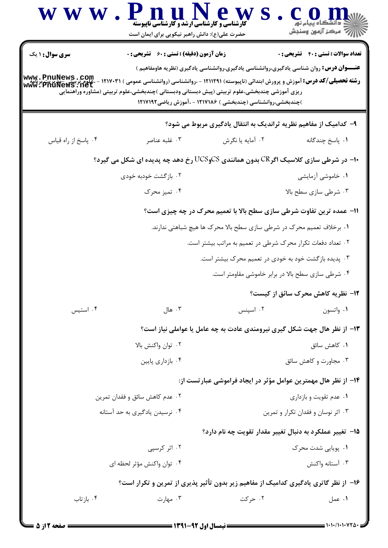| <b>WWW</b>                         | . PnuNew<br><b>کارشناسی و کارشناسی ارشد و گارشناسی ناپیوسته</b><br>حضرت علی(ع): دانش راهبر نیکویی برای ایمان است                                                                                            |                                                                                                | ود دانشڪاه پيام نور<br>¶7  مرکز آزمون وسنڊش |
|------------------------------------|-------------------------------------------------------------------------------------------------------------------------------------------------------------------------------------------------------------|------------------------------------------------------------------------------------------------|---------------------------------------------|
| <b>سری سوال : ۱ یک</b>             | <b>زمان آزمون (دقیقه) : تستی : 60 ٪ تشریحی : 0</b>                                                                                                                                                          | <b>عنـــوان درس:</b> روان شناسی یادگیری،روانشناسی یادگیری،روانشناسی یادگیری (نظریه هاومفاهیم ) | <b>تعداد سوالات : تستی : 40 قشریحی : 0</b>  |
| www.PnuNews.com<br>www.PnuNews.net | <b>رشته تحصیلی/کد درس:</b> آموزش و پرورش ابتدائی (ناپیوسته) ۱۲۱۱۲۹۱ - ،روانشناسی (روانشناسی عمومی ) ۱۲۱۷۰۳۱<br>ریزی آموزشی چندبخشی،علوم تربیتی (پیش دبستانی ودبستانی )چندبخشی،علوم تربیتی (مشاوره وراهنمایی | )چندبخشی،روانشناسی (چندبخشی ) ۱۲۱۷۱۸۶ - ،آموزش ریاضی۱۲۱۷۱۹۲                                    |                                             |
|                                    |                                                                                                                                                                                                             | ۹- کدامیک از مفاهیم نظریه ثراندیک به انتقال یادگیری مربوط می شود؟                              |                                             |
| ۰۴ پاسخ از راه قياس                | ۰۳ غلبه عناصر                                                                                                                                                                                               | ۰۲ آمایه یا نگرش                                                                               | ٠١. پاسخ چندگانه                            |
|                                    | ∙۱- در شرطی سازی کلاسیک اگرCR بدون همانندی UCSوUCS رخ دهد چه پدیده ای شکل می گیرد؟                                                                                                                          |                                                                                                |                                             |
|                                    | ۰۲ بازگشت خودبه خودی                                                                                                                                                                                        |                                                                                                | ۰۱ خاموشی آزمایشی                           |
|                                    | ۰۴ تمیز محرک                                                                                                                                                                                                |                                                                                                | ۰۳ شرطی سازی سطح بالا                       |
|                                    |                                                                                                                                                                                                             | 11- عمده ترین تفاوت شرطی سازی سطح بالا با تعمیم محرک در چه چیزی است؟                           |                                             |
|                                    |                                                                                                                                                                                                             | ۰۱ برخلاف تعمیم محرک در شرطی سازی سطح بالا محرک ها هیچ شباهتی ندارند.                          |                                             |
|                                    |                                                                                                                                                                                                             | ۰۲ تعداد دفعات تکرار محرک شرطی در تعمیم به مراتب بیشتر است.                                    |                                             |
|                                    |                                                                                                                                                                                                             | ۰۳ پدیده بازگشت خود به خودی در تعمیم محرک بیشتر است.                                           |                                             |
|                                    |                                                                                                                                                                                                             | ۰۴ شرطی سازی سطح بالا در برابر خاموشی مقاومتر است.                                             |                                             |
|                                    |                                                                                                                                                                                                             |                                                                                                | <b>۱۲- نظریه کاهش محرک سائق از کیست؟</b>    |
| ۰۴ استیس                           | ۰۳ هال                                                                                                                                                                                                      | ۰۲ اسپنس                                                                                       | ٠١ واتسون                                   |
|                                    |                                                                                                                                                                                                             | ۱۳- از نظر هال جهت شکل گیری نیرومندی عادت به چه عامل یا عواملی نیاز است؟                       |                                             |
|                                    | ٠٢ توان واكنش بالا                                                                                                                                                                                          |                                                                                                | ٠١ كاهش سائق                                |
|                                    | ۰۴ بازداری پایین                                                                                                                                                                                            |                                                                                                | ۰۳ مجاورت و کاهش سائق                       |
|                                    |                                                                                                                                                                                                             | ۱۴– از نظر هال مهمترین عوامل مؤثر در ایجاد فراموشی عبارتست از:                                 |                                             |
|                                    | ۰۲ عدم کاهش سائق و فقدان تمرین                                                                                                                                                                              |                                                                                                | ۰۱ عدم تقویت و بازداری                      |
|                                    | ۰۴ نرسیدن یادگیری به حد آستانه                                                                                                                                                                              |                                                                                                | ۰۳ اثر نوسان و فقدان تکرار و تمرین          |
|                                    |                                                                                                                                                                                                             | ۰۱۵ تغییر عملکرد به دنبال تغییر مقدار تقویت چه نام دارد؟                                       |                                             |
|                                    | ۰۲ اثر کرسپی                                                                                                                                                                                                |                                                                                                | ۰۱ پویایی شدت محرک                          |
|                                    | ۰۴ توان واكنش مؤثر لحظه اي                                                                                                                                                                                  |                                                                                                | ۰۳ آستانه واکنش                             |
|                                    | ۱۶- از نظر گاتری یادگیری کدامیک از مفاهیم زیر بدون تأثیر پذیری از تمرین و تکرار است؟                                                                                                                        |                                                                                                |                                             |
| ۰۴ باز تاب                         | ۰۳ مهارت                                                                                                                                                                                                    | ۰۲ حرکت                                                                                        | ۰۱ عمل                                      |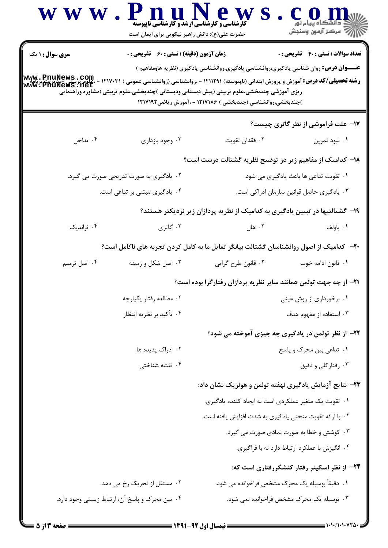|                        | حضرت علی(ع): دانش راهبر نیکویی برای ایمان است      |                                                                                                                                                                                                             | ڪ دانشگاه پيام نور<br>   > مرکز آزمون وسنڊش    |
|------------------------|----------------------------------------------------|-------------------------------------------------------------------------------------------------------------------------------------------------------------------------------------------------------------|------------------------------------------------|
| <b>سری سوال : ۱ یک</b> | <b>زمان آزمون (دقیقه) : تستی : 60 ٪ تشریحی : 0</b> |                                                                                                                                                                                                             | <b>تعداد سوالات : تستي : 40 - تشريحي : 0</b>   |
| www.PnuNews.com        |                                                    | <b>عنـــوان درس:</b> روان شناسی یادگیری،روانشناسی یادگیری،روانشناسی یادگیری (نظریه هاومفاهیم )                                                                                                              |                                                |
| www.PnuNews.net        |                                                    | <b>رشته تحصیلی/کد درس:</b> آموزش و پرورش ابتدائی (ناپیوسته) ۱۲۱۱۲۹۱ - ،روانشناسی (روانشناسی عمومی ) ۱۲۱۷۰۳۱<br>ریزی آموزشی چندبخشی،علوم تربیتی (پیش دبستانی ودبستانی )چندبخشی،علوم تربیتی (مشاوره وراهنمایی |                                                |
|                        |                                                    | )چندبخشی،روانشناسی (چندبخشی ) ۱۲۱۷۱۸۶ - ،آموزش ریاضی۱۲۱۷۱۹۲                                                                                                                                                 |                                                |
|                        |                                                    |                                                                                                                                                                                                             | ۱۷- علت فراموشی از نظر گاتری چیست؟             |
| ۰۴ تداخل               | ۰۳ وجود بازداري                                    | ٠٢ فقدان تقويت                                                                                                                                                                                              | ۰۱ نبود تمرين                                  |
|                        |                                                    | ۱۸– کدامیک از مفاهیم زیر در توضیح نظریه گشتالت درست است؟                                                                                                                                                    |                                                |
|                        | ۲. یادگیری به صورت تدریجی صورت می گیرد.            |                                                                                                                                                                                                             | ۰۱ تقویت تداعی ها باعث یادگیری می شود.         |
|                        | ۰۴ یادگیری مبتنی بر تداعی است.                     |                                                                                                                                                                                                             | ۰۳ یادگیری حاصل قوانین سازمان ادراکی است.      |
|                        |                                                    | ۱۹- گشتالتیها در تبیین یادگیری به کدامیک از نظریه پردازان زیر نزدیکتر هستند؟                                                                                                                                |                                                |
| ۰۴ ثراندیک             | ۰۳ گاتری                                           | ۰۲ هال                                                                                                                                                                                                      | ۰۱ پاولف                                       |
|                        |                                                    | <b>۲۰</b> - کدامیک از اصول روانشناسان گشتالت بیانگر تمایل ما به کامل کردن تجربه های ناکامل است؟                                                                                                             |                                                |
| ۰۴ اصل ترمیم           | ۰۳ اصل شکل و زمینه                                 | ٠٢ قانون طرح گرايي                                                                                                                                                                                          | ٠١. قانون ادامه خوب                            |
|                        |                                                    | <b>۲۱</b> - از چه جهت تولمن همانند سایر نظریه پردازان رفتارگرا بوده است؟                                                                                                                                    |                                                |
|                        | ۰۲ مطالعه رفتار يكپارچه                            |                                                                                                                                                                                                             | ۰۱ برخورداری از روش عینی                       |
|                        | ۰۴ تأكيد بر نظريه انتظار                           |                                                                                                                                                                                                             | ۰۳ استفاده از مفهوم هدف                        |
|                        |                                                    | ۲۲- از نظر تولمن در یادگیری چه چیزی آموخته می شود؟                                                                                                                                                          |                                                |
|                        | ۰۲ ادراک پدیده ها                                  |                                                                                                                                                                                                             | ۰۱ تداعی بین محرک و پاسخ                       |
|                        | ۰۴ نقشه شناختی                                     |                                                                                                                                                                                                             | ۰۳ رفتارکلی و دقیق                             |
|                        |                                                    | ۲۳– نتایج آزمایش یادگیری نهفته تولمن و هونزیک نشان داد:                                                                                                                                                     |                                                |
|                        |                                                    | ٠١ تقويت يک متغير عملكردي است نه ايجاد كننده يادگيري.                                                                                                                                                       |                                                |
|                        |                                                    | ۰۲ با ارائه تقویت منحنی یادگیری به شدت افزایش یافته است.                                                                                                                                                    |                                                |
|                        |                                                    |                                                                                                                                                                                                             | ۰۳ کوشش و خطا به صورت نمادی صورت می گیرد.      |
|                        |                                                    |                                                                                                                                                                                                             | ۰۴ انگیزش با عملکرد ارتباط دارد نه با فراگیری. |
|                        |                                                    |                                                                                                                                                                                                             | ۲۴- از نظر اسکینر رفتار کنشگررفتاری است که:    |
|                        | ۰۲ مستقل از تحریک رخ می دهد.                       | ۰۱ دقیقاً بوسیله یک محرک مشخص فراخوانده می شود.                                                                                                                                                             |                                                |
|                        | ۰۴ بین محرک و پاسخ آن، ارتباط زیستی وجود دارد.     | ۰۳ بوسیله یک محرک مشخص فراخوانده نمی شود.                                                                                                                                                                   |                                                |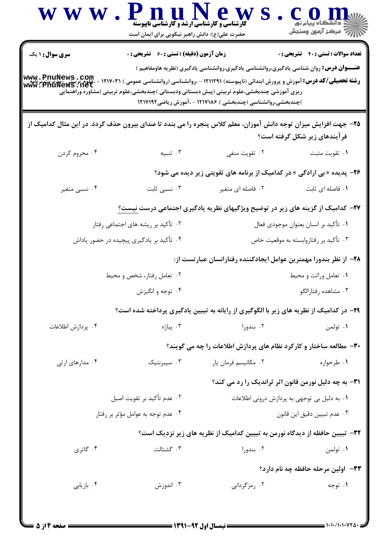|                                    | <b>کارشناسی و کارشناسی ارشد و کارشناسی ناپیوسته</b><br>حضرت علی(ع): دانش راهبر نیکویی برای ایمان است |                                                                                                                                                                                                                                                                                                                                                                              | ڪ دانشڪاه پيام نور<br>   77 مرکز آزمون وسنڊش |
|------------------------------------|------------------------------------------------------------------------------------------------------|------------------------------------------------------------------------------------------------------------------------------------------------------------------------------------------------------------------------------------------------------------------------------------------------------------------------------------------------------------------------------|----------------------------------------------|
| <b>سری سوال : ۱ یک</b>             | <b>زمان آزمون (دقیقه) : تستی : 60 ٪ تشریحی : 0</b>                                                   |                                                                                                                                                                                                                                                                                                                                                                              | <b>تعداد سوالات : تستي : 40 قشريحي : 0</b>   |
| www.PnuNews.com<br>www.PnuNews.net |                                                                                                      | <b>عنـــوان درس:</b> روان شناسی یادگیری،روانشناسی یادگیری،روانشناسی یادگیری (نظریه هاومفاهیم )<br><b>رشته تحصیلی/کد درس:</b> آموزش و پرورش ابتدائی (ناپیوسته) ۱۲۱۱۲۹۱ - ،روانشناسی (روانشناسی عمومی ) ۱۲۱۷۰۳۱<br>ریزی آموزشی چندبخشی،علوم تربیتی (پیش دبستانی ودبستانی )چندبخشی،علوم تربیتی (مشاوره وراهنمایی<br>)چندبخشی،روانشناسی (چندبخشی ) ۱۲۱۷۱۸۶ - ،آموزش ریاضی۱۲۱۷۱۹۲ |                                              |
|                                    |                                                                                                      | ۲۵- جهت افزایش میزان توجه دانش آموزان، معلم کلاس پنجره را می بندد تا صدای بیرون حذف گردد. در این مثال کدامیک از                                                                                                                                                                                                                                                              | فر آیندهای زیر شکل گرفته است؟                |
| ۰۴ محروم کردن                      | ۰۳ تنبیه                                                                                             | ۰۲ تقویت منفی                                                                                                                                                                                                                                                                                                                                                                | ٠١ تقويت مثبت                                |
|                                    |                                                                                                      | ۲۶- پدیده «بی ارادگی » در کدامیک از برنامه های تقویتی زیر دیده می شود؟                                                                                                                                                                                                                                                                                                       |                                              |
| ۰۴ نسبي متغير                      | ۰۳ نسبی ثابت                                                                                         | ۰۲ فاصله ای متغیر                                                                                                                                                                                                                                                                                                                                                            | ٠١ فاصله اى ثابت                             |
|                                    |                                                                                                      | <b>۲۷</b> – کدامیک از گزینه های زیر در توضیح ویژگیهای نظریه یادگیری اجتماعی درست <u>نیست؟</u>                                                                                                                                                                                                                                                                                |                                              |
|                                    | ۰۲ تأکید بر ریشه های اجتماعی رفتار                                                                   |                                                                                                                                                                                                                                                                                                                                                                              | ۰۱ تأکید بر انسان بعنوان موجودی فعال         |
|                                    | ۰۴ تأکید بر یادگیری پیچیده در حضور پاداش                                                             |                                                                                                                                                                                                                                                                                                                                                                              | ۰۳ تأکید بر رفتاروابسته به موقعیت خاص        |
|                                    |                                                                                                      | ۲۸– از نظر بندورا مهمترین عوامل ایجادکننده رفتارانسان عبارتست از:                                                                                                                                                                                                                                                                                                            |                                              |
|                                    | ۰۲ تعامل رفتار، شخص و محیط                                                                           |                                                                                                                                                                                                                                                                                                                                                                              | ٠١ تعامل وراثت و محيط                        |
|                                    | ۰۴ توجه و انگیزش                                                                                     |                                                                                                                                                                                                                                                                                                                                                                              | ۰۳ مشاهده رفتارالگو                          |
|                                    |                                                                                                      | ۲۹- در کدامیک از نظریه های زیر با الگوگیری از رایانه به تبیین یادگیری پرداخته شده است؟                                                                                                                                                                                                                                                                                       |                                              |
| ۰۴ پردازش اطلاعات                  | ۰۳ پياژه                                                                                             | ۰۲ بندورا                                                                                                                                                                                                                                                                                                                                                                    | ۰۱ تولمن                                     |
|                                    |                                                                                                      | ۳۰- مطالعه ساختار و کارکرد نظام های پردازش اطلاعات را چه می گویند؟                                                                                                                                                                                                                                                                                                           |                                              |
| ۰۴ مدارهای ارثی                    | ۰۳ سیبرنتیک                                                                                          | ۰۲ مکانیسم فرمان یار                                                                                                                                                                                                                                                                                                                                                         | ۰۱ طرحواره                                   |
|                                    |                                                                                                      | <b>۳۱</b> - به چه دلیل نورمن قانون اثر ثراندیک را رد می کند؟                                                                                                                                                                                                                                                                                                                 |                                              |
|                                    | ٢. عدم تأكيد بر تقويت اصيل                                                                           |                                                                                                                                                                                                                                                                                                                                                                              | ۰۱ به دلیل بی توجهی به پردازش درونی اطلاعات  |
|                                    | ۰۴ عدم توجه به عوامل مؤثر بر رفتار                                                                   |                                                                                                                                                                                                                                                                                                                                                                              | ٠٣ عدم تبيين دقيق اين قانون                  |
|                                    |                                                                                                      | ۳۲– تبیین حافظه از دیدگاه نورمن به تبیین کدامیک از نظریه های زیر نزدیک است؟                                                                                                                                                                                                                                                                                                  |                                              |
| ۰۴ گاتری                           | ٠٣ گشتالت                                                                                            | ۰۲ بندورا                                                                                                                                                                                                                                                                                                                                                                    | ۰۱ تولمن                                     |
|                                    |                                                                                                      |                                                                                                                                                                                                                                                                                                                                                                              | ۳۳– اولین مرحله حافظه چه نام دارد؟           |
| ۰۴ بازیابی                         | ۰۳ اندوزش                                                                                            | ۰۲ رمزگردانی                                                                                                                                                                                                                                                                                                                                                                 | ۰۱ توجه                                      |